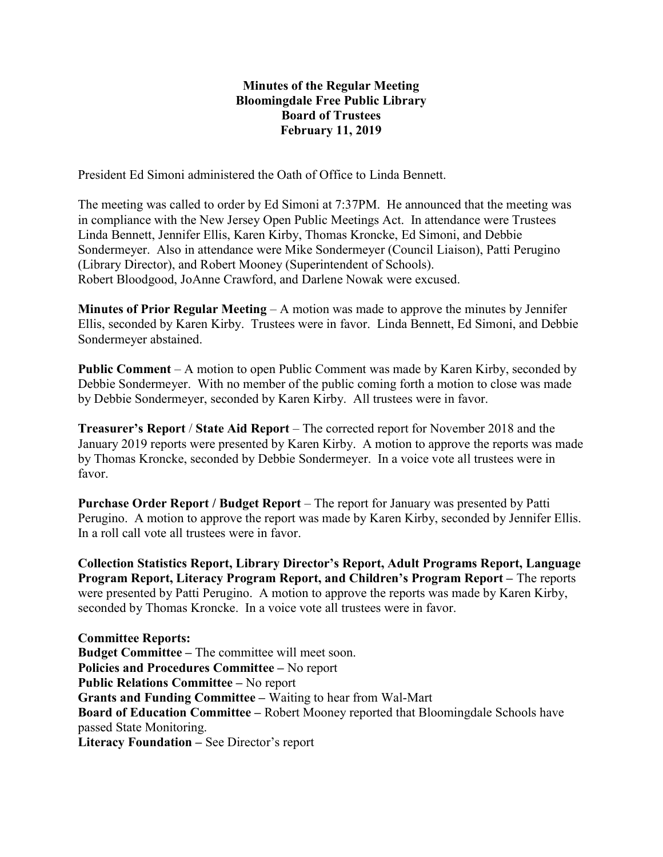## Minutes of the Regular Meeting Bloomingdale Free Public Library Board of Trustees February 11, 2019

President Ed Simoni administered the Oath of Office to Linda Bennett.

The meeting was called to order by Ed Simoni at 7:37PM. He announced that the meeting was in compliance with the New Jersey Open Public Meetings Act. In attendance were Trustees Linda Bennett, Jennifer Ellis, Karen Kirby, Thomas Kroncke, Ed Simoni, and Debbie Sondermeyer. Also in attendance were Mike Sondermeyer (Council Liaison), Patti Perugino (Library Director), and Robert Mooney (Superintendent of Schools). Robert Bloodgood, JoAnne Crawford, and Darlene Nowak were excused.

**Minutes of Prior Regular Meeting – A motion was made to approve the minutes by Jennifer** Ellis, seconded by Karen Kirby. Trustees were in favor. Linda Bennett, Ed Simoni, and Debbie Sondermeyer abstained.

Public Comment – A motion to open Public Comment was made by Karen Kirby, seconded by Debbie Sondermeyer. With no member of the public coming forth a motion to close was made by Debbie Sondermeyer, seconded by Karen Kirby. All trustees were in favor.

Treasurer's Report / State Aid Report – The corrected report for November 2018 and the January 2019 reports were presented by Karen Kirby. A motion to approve the reports was made by Thomas Kroncke, seconded by Debbie Sondermeyer. In a voice vote all trustees were in favor.

Purchase Order Report / Budget Report – The report for January was presented by Patti Perugino. A motion to approve the report was made by Karen Kirby, seconded by Jennifer Ellis. In a roll call vote all trustees were in favor.

Collection Statistics Report, Library Director's Report, Adult Programs Report, Language Program Report, Literacy Program Report, and Children's Program Report – The reports were presented by Patti Perugino. A motion to approve the reports was made by Karen Kirby, seconded by Thomas Kroncke. In a voice vote all trustees were in favor.

Committee Reports: Budget Committee – The committee will meet soon. Policies and Procedures Committee – No report Public Relations Committee – No report Grants and Funding Committee – Waiting to hear from Wal-Mart Board of Education Committee – Robert Mooney reported that Bloomingdale Schools have passed State Monitoring. Literacy Foundation – See Director's report